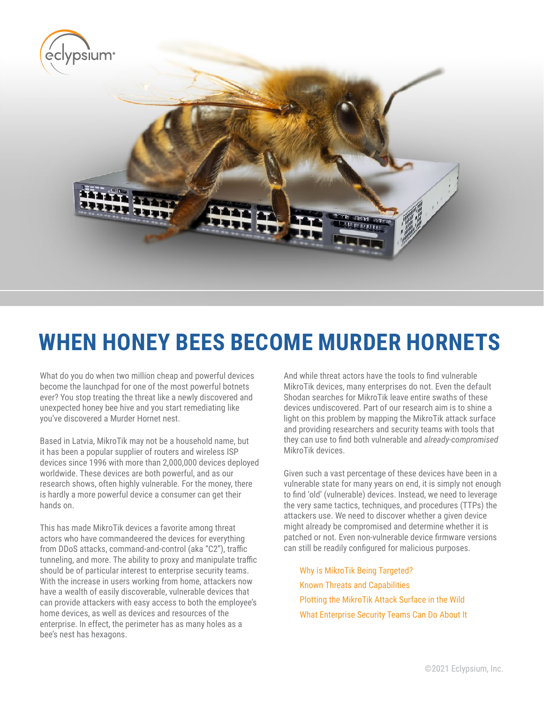

# **WHEN HONEY BEES BECOME MURDER HORNETS**

What do you do when two million cheap and powerful devices become the launchpad for one of the most powerful botnets ever? You stop treating the threat like a newly discovered and unexpected honey bee hive and you start remediating like you've discovered a Murder Hornet nest.

Based in Latvia, MikroTik may not be a household name, but it has been a popular supplier of routers and wireless ISP devices since 1996 with more than 2,000,000 devices deployed worldwide. These devices are both powerful, and as our research shows, often highly vulnerable. For the money, there is hardly a more powerful device a consumer can get their hands on.

This has made MikroTik devices a favorite among threat actors who have commandeered the devices for everything from DDoS attacks, command-and-control (aka "C2"), traffic tunneling, and more. The ability to proxy and manipulate traffic should be of particular interest to enterprise security teams. With the increase in users working from home, attackers now have a wealth of easily discoverable, vulnerable devices that can provide attackers with easy access to both the employee's home devices, as well as devices and resources of the enterprise. In effect, the perimeter has as many holes as a bee's nest has hexagons.

And while threat actors have the tools to find vulnerable MikroTik devices, many enterprises do not. Even the default Shodan searches for MikroTik leave entire swaths of these devices undiscovered. Part of our research aim is to shine a light on this problem by mapping the MikroTik attack surface and providing researchers and security teams with tools that they can use to find both vulnerable and *already-compromised* MikroTik devices.

Given such a vast percentage of these devices have been in a vulnerable state for many years on end, it is simply not enough to find 'old' (vulnerable) devices. Instead, we need to leverage the very same tactics, techniques, and procedures (TTPs) the attackers use. We need to discover whether a given device might already be compromised and determine whether it is patched or not. Even non-vulnerable device firmware versions can still be readily configured for malicious purposes.

[Why is MikroTik Being Targeted?](#page-1-0) [Known Threats and Capabilities](#page-1-0) [Plotting the MikroTik Attack Surface in the Wild](#page-1-0) [What Enterprise Security Teams Can Do About It](#page-4-0)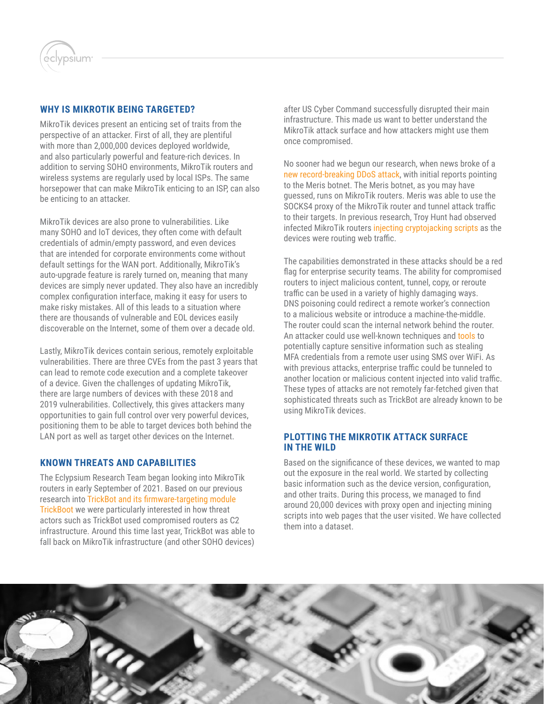<span id="page-1-0"></span>

# **WHY IS MIKROTIK BEING TARGETED?**

MikroTik devices present an enticing set of traits from the perspective of an attacker. First of all, they are plentiful with more than 2,000,000 devices deployed worldwide, and also particularly powerful and feature-rich devices. In addition to serving SOHO environments, MikroTik routers and wireless systems are regularly used by local ISPs. The same horsepower that can make MikroTik enticing to an ISP, can also be enticing to an attacker.

MikroTik devices are also prone to vulnerabilities. Like many SOHO and IoT devices, they often come with default credentials of admin/empty password, and even devices that are intended for corporate environments come without default settings for the WAN port. Additionally, MikroTik's auto-upgrade feature is rarely turned on, meaning that many devices are simply never updated. They also have an incredibly complex configuration interface, making it easy for users to make risky mistakes. All of this leads to a situation where there are thousands of vulnerable and EOL devices easily discoverable on the Internet, some of them over a decade old.

Lastly, MikroTik devices contain serious, remotely exploitable vulnerabilities. There are three CVEs from the past 3 years that can lead to remote code execution and a complete takeover of a device. Given the challenges of updating MikroTik, there are large numbers of devices with these 2018 and 2019 vulnerabilities. Collectively, this gives attackers many opportunities to gain full control over very powerful devices, positioning them to be able to target devices both behind the LAN port as well as target other devices on the Internet.

# **KNOWN THREATS AND CAPABILITIES**

The Eclypsium Research Team began looking into MikroTik routers in early September of 2021. Based on our previous research into [TrickBot and its firmware-targeting module](https://eclypsium.com/2020/12/03/trickbot-now-offers-trickboot-persist-brick-profit/)  [TrickBoot](https://eclypsium.com/2020/12/03/trickbot-now-offers-trickboot-persist-brick-profit/) we were particularly interested in how threat actors such as TrickBot used compromised routers as C2 infrastructure. Around this time last year, TrickBot was able to fall back on MikroTik infrastructure (and other SOHO devices)

after US Cyber Command successfully disrupted their main infrastructure. This made us want to better understand the MikroTik attack surface and how attackers might use them once compromised.

No sooner had we begun our research, when news broke of a [new record-breaking DDoS attack,](https://www.bleepingcomputer.com/news/security/new-m-ris-botnet-breaks-ddos-record-with-218-million-rps-attack/) with initial reports pointing to the Meris botnet. The Meris botnet, as you may have guessed, runs on MikroTik routers. Meris was able to use the SOCKS4 proxy of the MikroTik router and tunnel attack traffic to their targets. In previous research, Troy Hunt had observed infected MikroTik routers [injecting cryptojacking scripts](https://www.troyhunt.com/i-now-own-the-coinhive-domain-heres-how-im-fighting-cryptojacking-and-doing-good-things-with-content-security-policies/) as the devices were routing web traffic.

The capabilities demonstrated in these attacks should be a red flag for enterprise security teams. The ability for compromised routers to inject malicious content, tunnel, copy, or reroute traffic can be used in a variety of highly damaging ways. DNS poisoning could redirect a remote worker's connection to a malicious website or introduce a machine-the-middle. The router could scan the internal network behind the router. An attacker could use well-known techniques and [tools](https://en.kali.tools/?p=30) to potentially capture sensitive information such as stealing MFA credentials from a remote user using SMS over WiFi. As with previous attacks, enterprise traffic could be tunneled to another location or malicious content injected into valid traffic. These types of attacks are not remotely far-fetched given that sophisticated threats such as TrickBot are already known to be using MikroTik devices.

# **PLOTTING THE MIKROTIK ATTACK SURFACE IN THE WILD**

Based on the significance of these devices, we wanted to map out the exposure in the real world. We started by collecting basic information such as the device version, configuration, and other traits. During this process, we managed to find around 20,000 devices with proxy open and injecting mining scripts into web pages that the user visited. We have collected them into a dataset.

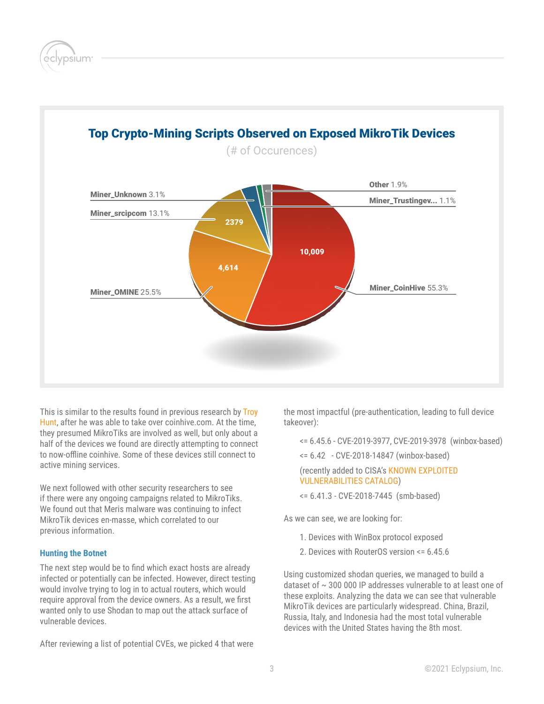psium



# Top Crypto-Mining Scripts Observed on Exposed MikroTik Devices

This is similar to the results found in previous research by Troy [Hunt,](https://www.troyhunt.com/i-now-own-the-coinhive-domain-heres-how-im-fighting-cryptojacking-and-doing-good-things-with-content-security-policies/) after he was able to take over coinhive.com. At the time, they presumed MikroTiks are involved as well, but only about a half of the devices we found are directly attempting to connect to now-offline coinhive. Some of these devices still connect to active mining services.

We next followed with other security researchers to see if there were any ongoing campaigns related to MikroTiks. We found out that Meris malware was continuing to infect MikroTik devices en-masse, which correlated to our previous information.

# **Hunting the Botnet**

The next step would be to find which exact hosts are already infected or potentially can be infected. However, direct testing would involve trying to log in to actual routers, which would require approval from the device owners. As a result, we first wanted only to use Shodan to map out the attack surface of vulnerable devices.

After reviewing a list of potential CVEs, we picked 4 that were

the most impactful (pre-authentication, leading to full device takeover):

<= 6.45.6 - CVE-2019-3977, CVE-2019-3978 (winbox-based)

<= 6.42 - CVE-2018-14847 (winbox-based)

 (recently added to CISA's [KNOWN EXPLOITED](https://www.cisa.gov/known-exploited-vulnerabilities-catalog)  [VULNERABILITIES CATALOG](https://www.cisa.gov/known-exploited-vulnerabilities-catalog))

<= 6.41.3 - CVE-2018-7445 (smb-based)

As we can see, we are looking for:

- 1. Devices with WinBox protocol exposed
- 2. Devices with RouterOS version <= 6.45.6

Using customized shodan queries, we managed to build a dataset of  $\sim$  300 000 IP addresses vulnerable to at least one of these exploits. Analyzing the data we can see that vulnerable MikroTik devices are particularly widespread. China, Brazil, Russia, Italy, and Indonesia had the most total vulnerable devices with the United States having the 8th most.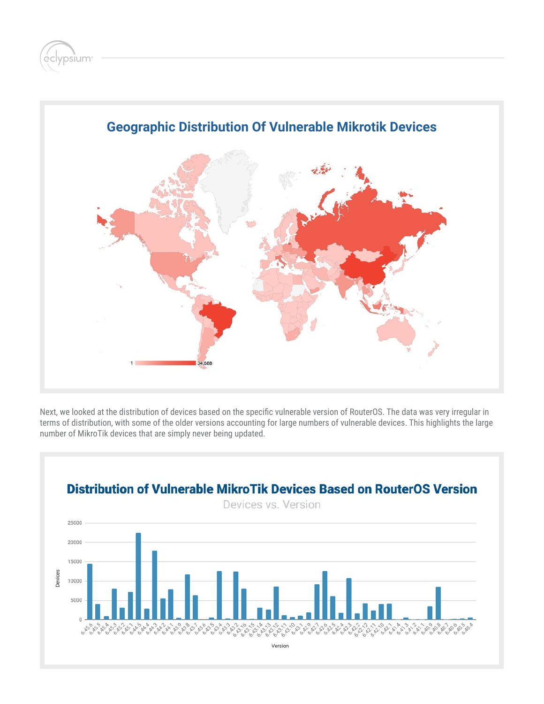



Next, we looked at the distribution of devices based on the specific vulnerable version of RouterOS. The data was very irregular in terms of distribution, with some of the older versions accounting for large numbers of vulnerable devices. This highlights the large number of MikroTik devices that are simply never being updated.

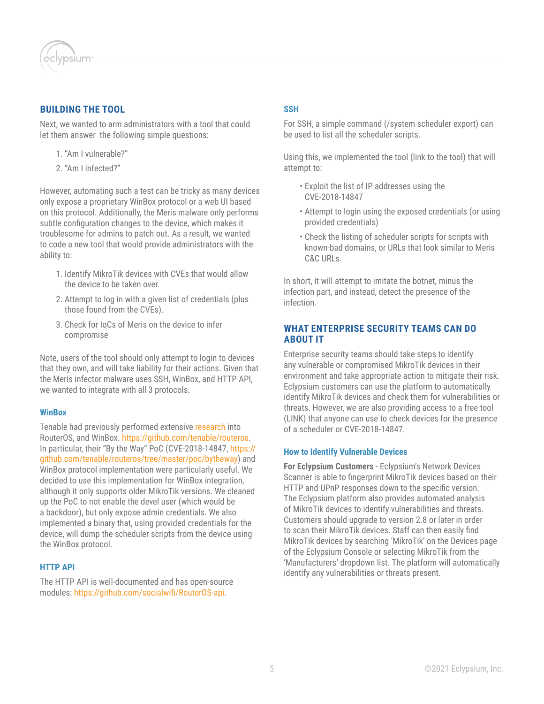<span id="page-4-0"></span>

# **BUILDING THE TOOL**

Next, we wanted to arm administrators with a tool that could let them answer the following simple questions:

- 1. "Am I vulnerable?"
- 2. "Am I infected?"

However, automating such a test can be tricky as many devices only expose a proprietary WinBox protocol or a web UI based on this protocol. Additionally, the Meris malware only performs subtle configuration changes to the device, which makes it troublesome for admins to patch out. As a result, we wanted to code a new tool that would provide administrators with the ability to:

- 1. Identify MikroTik devices with CVEs that would allow the device to be taken over.
- 2. Attempt to log in with a given list of credentials (plus those found from the CVEs).
- 3. Check for IoCs of Meris on the device to infer compromise

Note, users of the tool should only attempt to login to devices that they own, and will take liability for their actions. Given that the Meris infector malware uses SSH, WinBox, and HTTP API, we wanted to integrate with all 3 protocols.

#### **WinBox**

Tenable had previously performed extensive [research](https://github.com/tenable/routeros) into RouterOS, and WinBox. [https://github.com/tenable/routeros.](https://github.com/tenable/routeros) In particular, their "By the Way" PoC (CVE-2018-14847, [https://](https://github.com/tenable/routeros/tree/master/poc/bytheway) [github.com/tenable/routeros/tree/master/poc/bytheway\)](https://github.com/tenable/routeros/tree/master/poc/bytheway) and WinBox protocol implementation were particularly useful. We decided to use this implementation for WinBox integration, although it only supports older MikroTik versions. We cleaned up the PoC to not enable the devel user (which would be a backdoor), but only expose admin credentials. We also implemented a binary that, using provided credentials for the device, will dump the scheduler scripts from the device using the WinBox protocol.

# **HTTP API**

The HTTP API is well-documented and has open-source modules: <https://github.com/socialwifi/RouterOS-api>.

#### **SSH**

For SSH, a simple command (/system scheduler export) can be used to list all the scheduler scripts.

Using this, we implemented the tool (link to the tool) that will attempt to:

- Exploit the list of IP addresses using the CVE-2018-14847
- Attempt to login using the exposed credentials (or using provided credentials)
- Check the listing of scheduler scripts for scripts with known-bad domains, or URLs that look similar to Meris C&C URLs.

In short, it will attempt to imitate the botnet, minus the infection part, and instead, detect the presence of the infection.

# **WHAT ENTERPRISE SECURITY TEAMS CAN DO ABOUT IT**

Enterprise security teams should take steps to identify any vulnerable or compromised MikroTik devices in their environment and take appropriate action to mitigate their risk. Eclypsium customers can use the platform to automatically identify MikroTik devices and check them for vulnerabilities or threats. However, we are also providing access to a free tool (LINK) that anyone can use to check devices for the presence of a scheduler or CVE-2018-14847.

#### **How to Identify Vulnerable Devices**

**For Eclypsium Customers** - Eclypsium's Network Devices Scanner is able to fingerprint MikroTik devices based on their HTTP and UPnP responses down to the specific version. The Eclypsium platform also provides automated analysis of MikroTik devices to identify vulnerabilities and threats. Customers should upgrade to version 2.8 or later in order to scan their MikroTik devices. Staff can then easily find MikroTik devices by searching 'MikroTik' on the Devices page of the Eclypsium Console or selecting MikroTik from the 'Manufacturers' dropdown list. The platform will automatically identify any vulnerabilities or threats present.